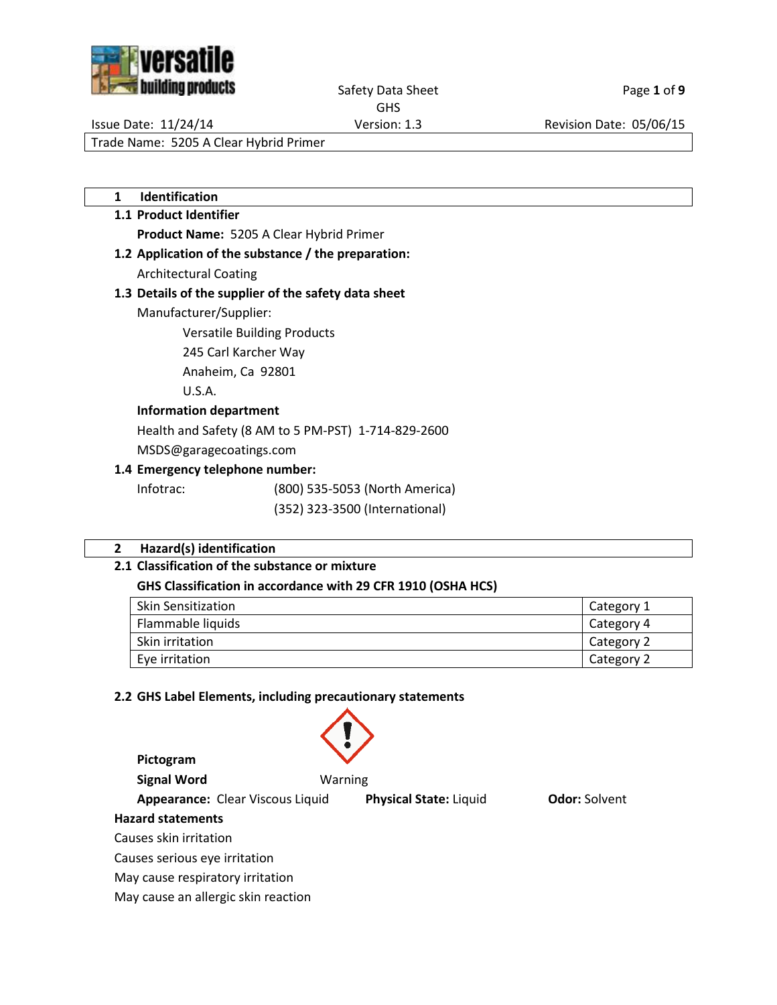

# Safety Data Sheet Page 1 of 9

GHS

Issue Date: 11/24/14 Version: 1.3 Revision Date: 05/06/15

Trade Name: 5205 A Clear Hybrid Primer

**1 Identification**

## **1.1 Product Identifier**

**Product Name:** 5205 A Clear Hybrid Primer

**1.2 Application of the substance / the preparation:**

Architectural Coating

# **1.3 Details of the supplier of the safety data sheet**

Manufacturer/Supplier:

Versatile Building Products

245 Carl Karcher Way

Anaheim, Ca 92801

U.S.A.

## **Information department**

Health and Safety (8 AM to 5 PM-PST) 1-714-829-2600

MSDS@garagecoatings.com

## **1.4 Emergency telephone number:**

Infotrac: (800) 535-5053 (North America)

(352) 323-3500 (International)

## **2 Hazard(s) identification**

## **2.1 Classification of the substance or mixture**

## **GHS Classification in accordance with 29 CFR 1910 (OSHA HCS)**

| <b>Skin Sensitization</b> | Category 1 |
|---------------------------|------------|
| Flammable liquids         | Category 4 |
| <b>Skin irritation</b>    | Category 2 |
| Eve irritation            | Category 2 |

## **2.2 GHS Label Elements, including precautionary statements**

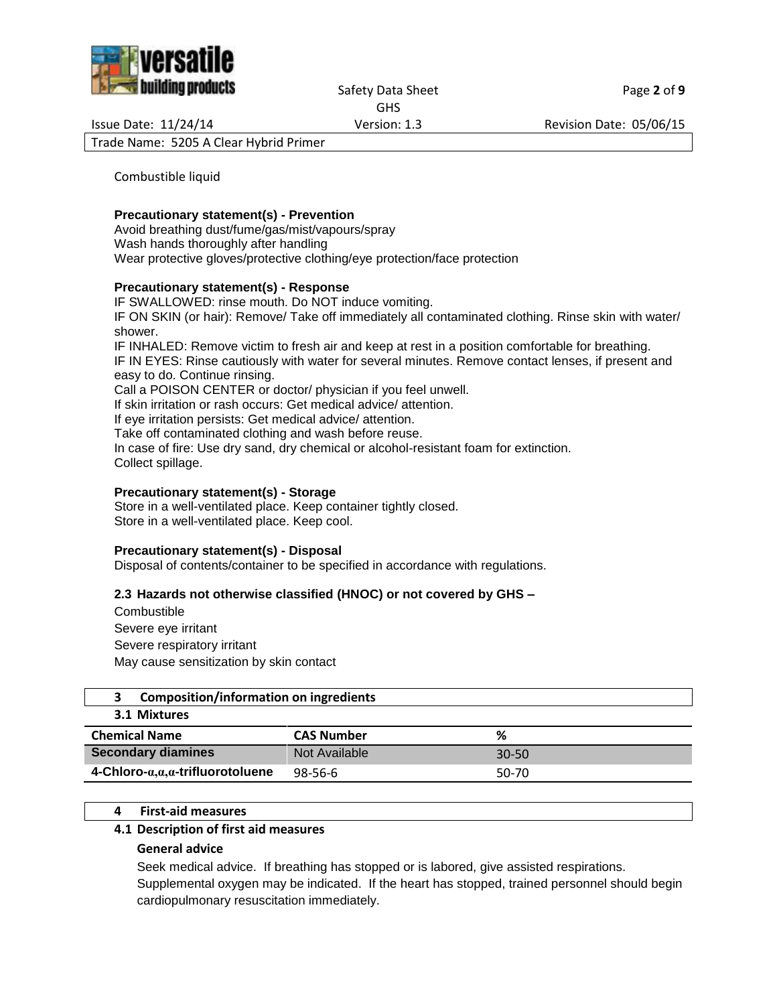

Safety Data Sheet Page 2 of 9 GHS

Issue Date: 11/24/14 Version: 1.3 Revision Date: 05/06/15

Trade Name: 5205 A Clear Hybrid Primer

Combustible liquid

#### **Precautionary statement(s) - Prevention**

Avoid breathing dust/fume/gas/mist/vapours/spray Wash hands thoroughly after handling Wear protective gloves/protective clothing/eye protection/face protection

#### **Precautionary statement(s) - Response**

IF SWALLOWED: rinse mouth. Do NOT induce vomiting. IF ON SKIN (or hair): Remove/ Take off immediately all contaminated clothing. Rinse skin with water/ shower. IF INHALED: Remove victim to fresh air and keep at rest in a position comfortable for breathing.

IF IN EYES: Rinse cautiously with water for several minutes. Remove contact lenses, if present and easy to do. Continue rinsing.

Call a POISON CENTER or doctor/ physician if you feel unwell.

If skin irritation or rash occurs: Get medical advice/ attention.

If eye irritation persists: Get medical advice/ attention.

Take off contaminated clothing and wash before reuse.

In case of fire: Use dry sand, dry chemical or alcohol-resistant foam for extinction. Collect spillage.

### **Precautionary statement(s) - Storage**

Store in a well-ventilated place. Keep container tightly closed. Store in a well-ventilated place. Keep cool.

#### **Precautionary statement(s) - Disposal**

Disposal of contents/container to be specified in accordance with regulations.

### **2.3 Hazards not otherwise classified (HNOC) or not covered by GHS –**

**Combustible** Severe eye irritant Severe respiratory irritant May cause sensitization by skin contact

|  | Composition/information on ingredients |  |
|--|----------------------------------------|--|
|--|----------------------------------------|--|

### **3.1 Mixtures**

| <b>Chemical Name</b>                | <b>CAS Number</b> | %         |
|-------------------------------------|-------------------|-----------|
| <b>Secondary diamines</b>           | Not Available     | $30 - 50$ |
| 4-Chloro- $a,a,a$ -trifluorotoluene | 98-56-6           | 50-70     |

### **4 First-aid measures**

#### **4.1 Description of first aid measures**

#### **General advice**

Seek medical advice. If breathing has stopped or is labored, give assisted respirations. Supplemental oxygen may be indicated. If the heart has stopped, trained personnel should begin cardiopulmonary resuscitation immediately.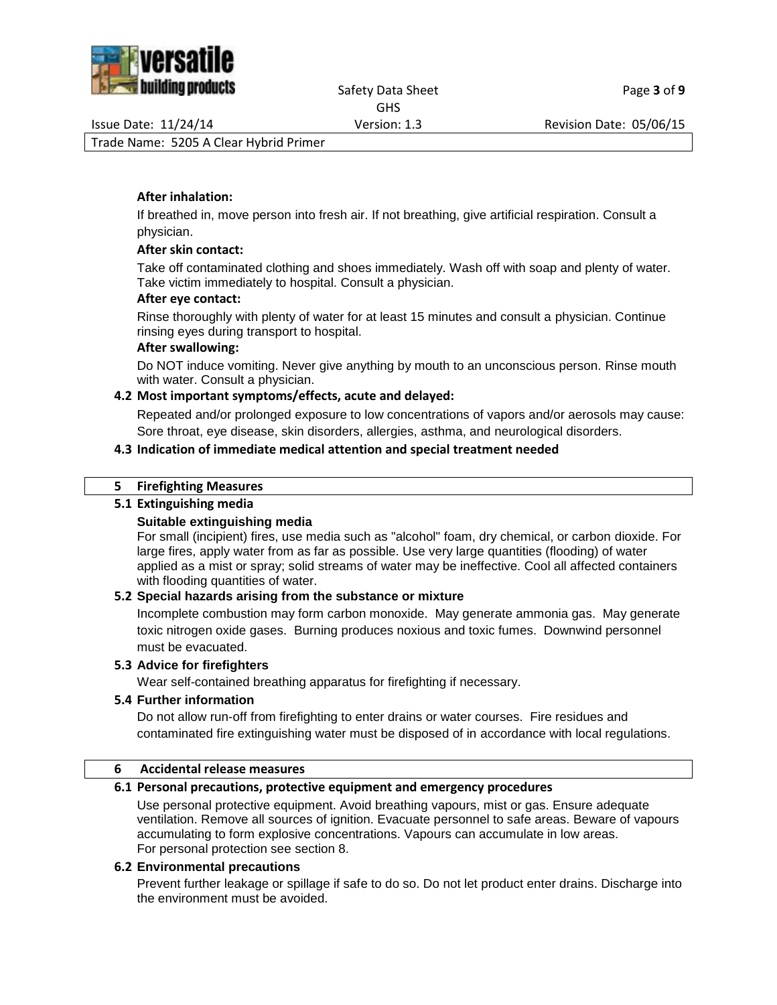

#### Safety Data Sheet Page 3 of 9 GHS

Issue Date: 11/24/14 Version: 1.3 Revision Date: 05/06/15

Trade Name: 5205 A Clear Hybrid Primer

# **After inhalation:**

If breathed in, move person into fresh air. If not breathing, give artificial respiration. Consult a physician.

# **After skin contact:**

Take off contaminated clothing and shoes immediately. Wash off with soap and plenty of water. Take victim immediately to hospital. Consult a physician.

# **After eye contact:**

Rinse thoroughly with plenty of water for at least 15 minutes and consult a physician. Continue rinsing eyes during transport to hospital.

# **After swallowing:**

Do NOT induce vomiting. Never give anything by mouth to an unconscious person. Rinse mouth with water. Consult a physician.

# **4.2 Most important symptoms/effects, acute and delayed:**

Repeated and/or prolonged exposure to low concentrations of vapors and/or aerosols may cause: Sore throat, eye disease, skin disorders, allergies, asthma, and neurological disorders.

# **4.3 Indication of immediate medical attention and special treatment needed**

# **5 Firefighting Measures**

# **5.1 Extinguishing media**

# **Suitable extinguishing media**

For small (incipient) fires, use media such as "alcohol" foam, dry chemical, or carbon dioxide. For large fires, apply water from as far as possible. Use very large quantities (flooding) of water applied as a mist or spray; solid streams of water may be ineffective. Cool all affected containers with flooding quantities of water.

# **5.2 Special hazards arising from the substance or mixture**

Incomplete combustion may form carbon monoxide. May generate ammonia gas. May generate toxic nitrogen oxide gases. Burning produces noxious and toxic fumes. Downwind personnel must be evacuated.

# **5.3 Advice for firefighters**

Wear self-contained breathing apparatus for firefighting if necessary.

# **5.4 Further information**

Do not allow run-off from firefighting to enter drains or water courses. Fire residues and contaminated fire extinguishing water must be disposed of in accordance with local regulations.

# **6 Accidental release measures**

# **6.1 Personal precautions, protective equipment and emergency procedures**

Use personal protective equipment. Avoid breathing vapours, mist or gas. Ensure adequate ventilation. Remove all sources of ignition. Evacuate personnel to safe areas. Beware of vapours accumulating to form explosive concentrations. Vapours can accumulate in low areas. For personal protection see section 8.

## **6.2 Environmental precautions**

Prevent further leakage or spillage if safe to do so. Do not let product enter drains. Discharge into the environment must be avoided.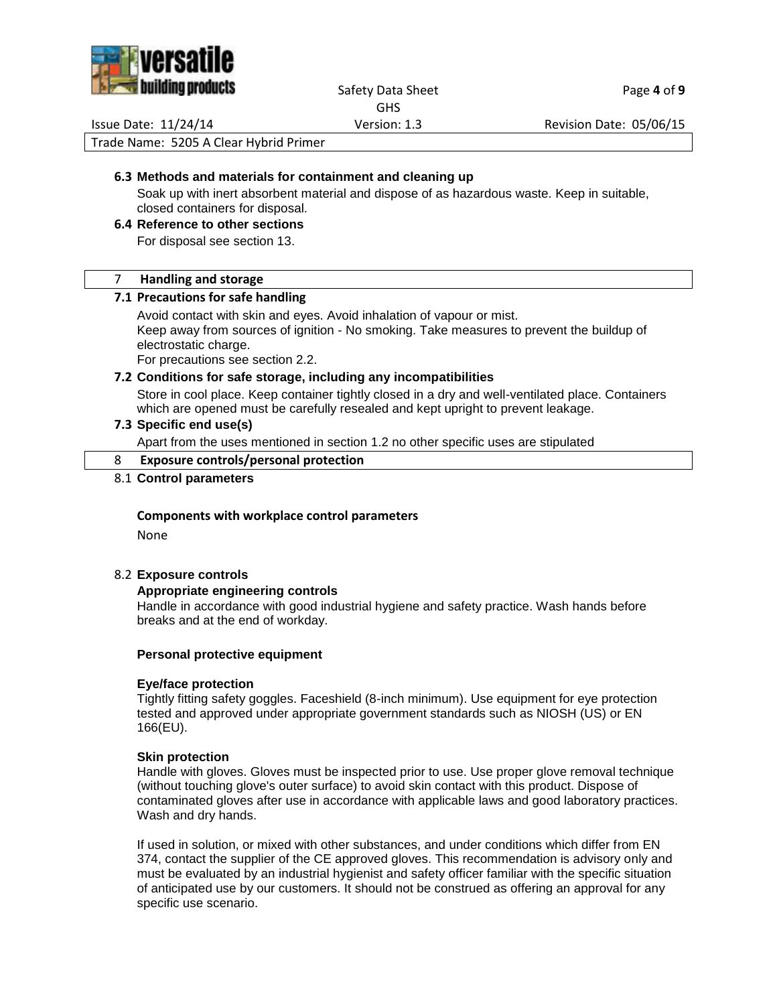

# Safety Data Sheet Page 4 of 9

GHS

Issue Date: 11/24/14 Version: 1.3 Revision Date: 05/06/15

Trade Name: 5205 A Clear Hybrid Primer

### **6.3 Methods and materials for containment and cleaning up**

Soak up with inert absorbent material and dispose of as hazardous waste. Keep in suitable, closed containers for disposal.

## **6.4 Reference to other sections**

For disposal see section 13.

#### 7 **Handling and storage**

### **7.1 Precautions for safe handling**

Avoid contact with skin and eyes. Avoid inhalation of vapour or mist. Keep away from sources of ignition - No smoking. Take measures to prevent the buildup of electrostatic charge.

For precautions see section 2.2.

#### **7.2 Conditions for safe storage, including any incompatibilities**

Store in cool place. Keep container tightly closed in a dry and well-ventilated place. Containers which are opened must be carefully resealed and kept upright to prevent leakage.

### **7.3 Specific end use(s)**

Apart from the uses mentioned in section 1.2 no other specific uses are stipulated

## 8 **Exposure controls/personal protection**

#### 8.1 **Control parameters**

#### **Components with workplace control parameters**

None

#### 8.2 **Exposure controls**

#### **Appropriate engineering controls**

Handle in accordance with good industrial hygiene and safety practice. Wash hands before breaks and at the end of workday.

#### **Personal protective equipment**

#### **Eye/face protection**

Tightly fitting safety goggles. Faceshield (8-inch minimum). Use equipment for eye protection tested and approved under appropriate government standards such as NIOSH (US) or EN 166(EU).

#### **Skin protection**

Handle with gloves. Gloves must be inspected prior to use. Use proper glove removal technique (without touching glove's outer surface) to avoid skin contact with this product. Dispose of contaminated gloves after use in accordance with applicable laws and good laboratory practices. Wash and dry hands.

If used in solution, or mixed with other substances, and under conditions which differ from EN 374, contact the supplier of the CE approved gloves. This recommendation is advisory only and must be evaluated by an industrial hygienist and safety officer familiar with the specific situation of anticipated use by our customers. It should not be construed as offering an approval for any specific use scenario.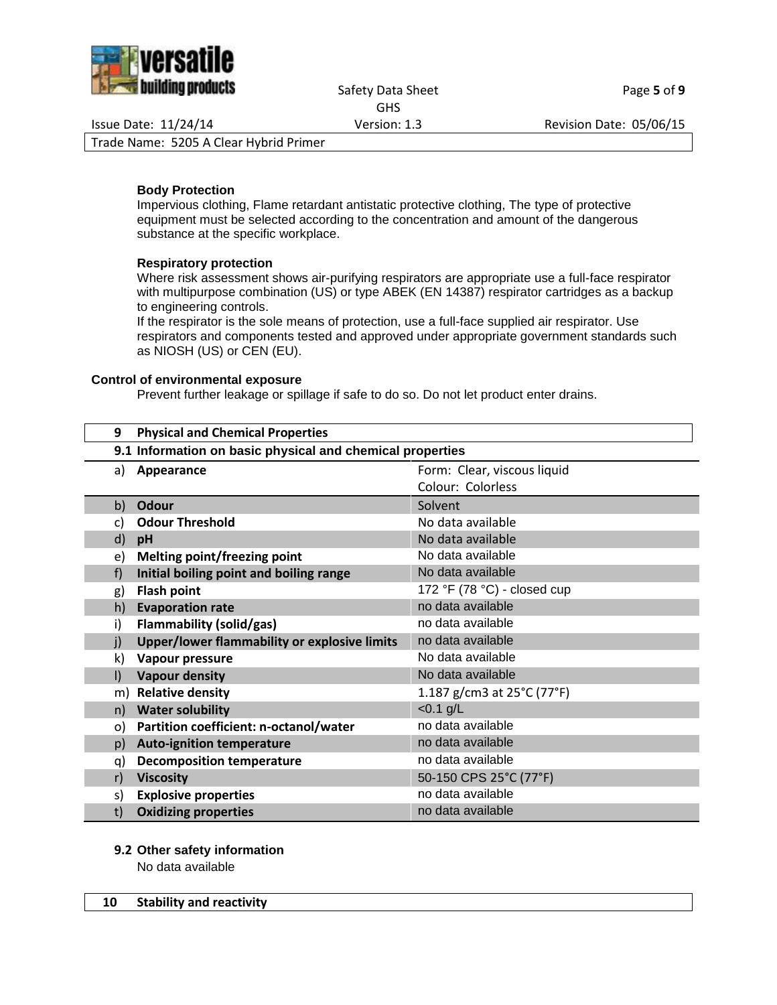

#### Safety Data Sheet Page 5 of 9 GHS

Issue Date: 11/24/14 Version: 1.3 Revision Date: 05/06/15

Trade Name: 5205 A Clear Hybrid Primer

### **Body Protection**

Impervious clothing, Flame retardant antistatic protective clothing, The type of protective equipment must be selected according to the concentration and amount of the dangerous substance at the specific workplace.

### **Respiratory protection**

Where risk assessment shows air-purifying respirators are appropriate use a full-face respirator with multipurpose combination (US) or type ABEK (EN 14387) respirator cartridges as a backup to engineering controls.

If the respirator is the sole means of protection, use a full-face supplied air respirator. Use respirators and components tested and approved under appropriate government standards such as NIOSH (US) or CEN (EU).

#### **Control of environmental exposure**

Prevent further leakage or spillage if safe to do so. Do not let product enter drains.

| 9            | <b>Physical and Chemical Properties</b>                   |                             |
|--------------|-----------------------------------------------------------|-----------------------------|
|              | 9.1 Information on basic physical and chemical properties |                             |
| a)           | Appearance                                                | Form: Clear, viscous liquid |
|              |                                                           | Colour: Colorless           |
| b)           | <b>Odour</b>                                              | Solvent                     |
| C)           | <b>Odour Threshold</b>                                    | No data available           |
| d)           | pH                                                        | No data available           |
| e)           | Melting point/freezing point                              | No data available           |
| f)           | Initial boiling point and boiling range                   | No data available           |
| g)           | <b>Flash point</b>                                        | 172 °F (78 °C) - closed cup |
| h)           | <b>Evaporation rate</b>                                   | no data available           |
| i)           | <b>Flammability (solid/gas)</b>                           | no data available           |
| j)           | Upper/lower flammability or explosive limits              | no data available           |
| k)           | Vapour pressure                                           | No data available           |
| $\mathsf{I}$ | <b>Vapour density</b>                                     | No data available           |
| m)           | <b>Relative density</b>                                   | 1.187 g/cm3 at 25°C (77°F)  |
| n)           | <b>Water solubility</b>                                   | $< 0.1$ g/L                 |
| o)           | Partition coefficient: n-octanol/water                    | no data available           |
| p)           | <b>Auto-ignition temperature</b>                          | no data available           |
| q)           | <b>Decomposition temperature</b>                          | no data available           |
| r)           | <b>Viscosity</b>                                          | 50-150 CPS 25°C (77°F)      |
| s)           | <b>Explosive properties</b>                               | no data available           |
| t)           | <b>Oxidizing properties</b>                               | no data available           |

## **9.2 Other safety information**

No data available

## **10 Stability and reactivity**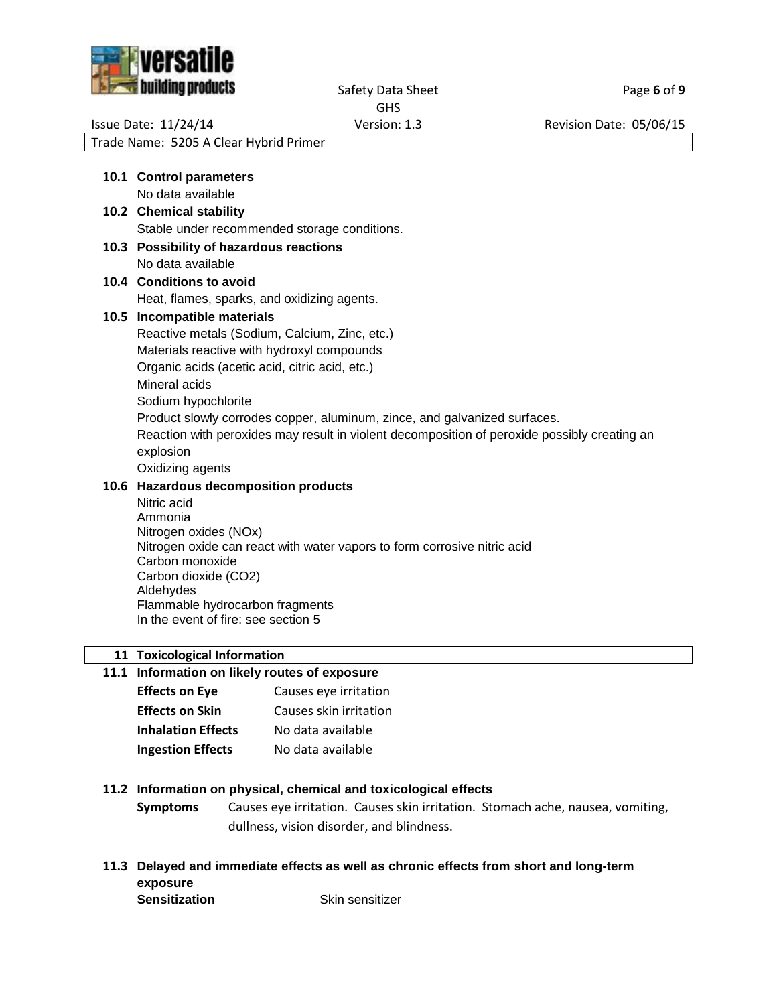

Safety Data Sheet Page 6 of 9

GHS

Issue Date: 11/24/14 <br>
Version: 1.3 Revision Date: 05/06/15

Trade Name: 5205 A Clear Hybrid Primer

|      | 10.1 Control parameters                                                                           |
|------|---------------------------------------------------------------------------------------------------|
|      | No data available                                                                                 |
|      | 10.2 Chemical stability                                                                           |
|      | Stable under recommended storage conditions.                                                      |
|      | 10.3 Possibility of hazardous reactions                                                           |
|      | No data available                                                                                 |
|      | 10.4 Conditions to avoid                                                                          |
|      | Heat, flames, sparks, and oxidizing agents.                                                       |
| 10.5 | Incompatible materials                                                                            |
|      | Reactive metals (Sodium, Calcium, Zinc, etc.)                                                     |
|      | Materials reactive with hydroxyl compounds                                                        |
|      | Organic acids (acetic acid, citric acid, etc.)                                                    |
|      | Mineral acids                                                                                     |
|      | Sodium hypochlorite                                                                               |
|      | Product slowly corrodes copper, aluminum, zince, and galvanized surfaces.                         |
|      | Reaction with peroxides may result in violent decomposition of peroxide possibly creating an      |
|      | explosion                                                                                         |
|      | Oxidizing agents                                                                                  |
|      | 10.6 Hazardous decomposition products                                                             |
|      | Nitric acid                                                                                       |
|      | Ammonia                                                                                           |
|      | Nitrogen oxides (NOx)<br>Nitrogen oxide can react with water vapors to form corrosive nitric acid |
|      | Carbon monoxide                                                                                   |
|      | Carbon dioxide (CO2)                                                                              |
|      | Aldehydes                                                                                         |
|      |                                                                                                   |

Flammable hydrocarbon fragments In the event of fire: see section 5

**11 Toxicological Information**

# **11.1 Information on likely routes of exposure**

| <b>Effects on Eye</b>     | Causes eye irritation  |
|---------------------------|------------------------|
| <b>Effects on Skin</b>    | Causes skin irritation |
| <b>Inhalation Effects</b> | No data available      |
| <b>Ingestion Effects</b>  | No data available      |

## **11.2 Information on physical, chemical and toxicological effects**

**Symptoms** Causes eye irritation. Causes skin irritation. Stomach ache, nausea, vomiting, dullness, vision disorder, and blindness.

**11.3 Delayed and immediate effects as well as chronic effects from short and long-term exposure Sensitization** Skin sensitizer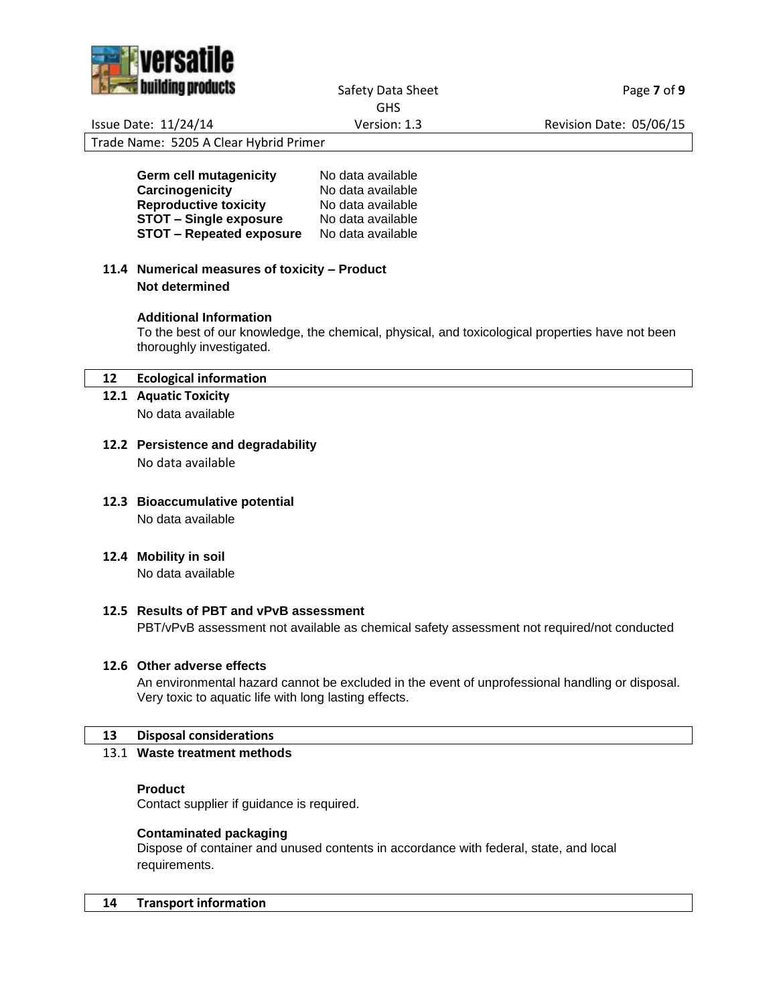

Safety Data Sheet Page **7** of 9

GHS

Issue Date: 11/24/14 Version: 1.3 Revision Date: 05/06/15

Trade Name: 5205 A Clear Hybrid Primer

**Germ cell mutagenicity** No data available<br> **Carcinogenicity** No data available **Carcinogenicity** No data available **Reproductive toxicity** No data available **STOT – Single exposure** No data available **STOT – Repeated exposure** No data available

**11.4 Numerical measures of toxicity – Product Not determined**

## **Additional Information**

To the best of our knowledge, the chemical, physical, and toxicological properties have not been thoroughly investigated.

### **12 Ecological information**

- **12.1 Aquatic Toxicity** No data available
- **12.2 Persistence and degradability** No data available
- **12.3 Bioaccumulative potential** No data available
- **12.4 Mobility in soil**

No data available

#### **12.5 Results of PBT and vPvB assessment**

PBT/vPvB assessment not available as chemical safety assessment not required/not conducted

#### **12.6 Other adverse effects**

An environmental hazard cannot be excluded in the event of unprofessional handling or disposal. Very toxic to aquatic life with long lasting effects.

#### **13 Disposal considerations**

### 13.1 **Waste treatment methods**

#### **Product**

Contact supplier if guidance is required.

#### **Contaminated packaging**

Dispose of container and unused contents in accordance with federal, state, and local requirements.

#### **14 Transport information**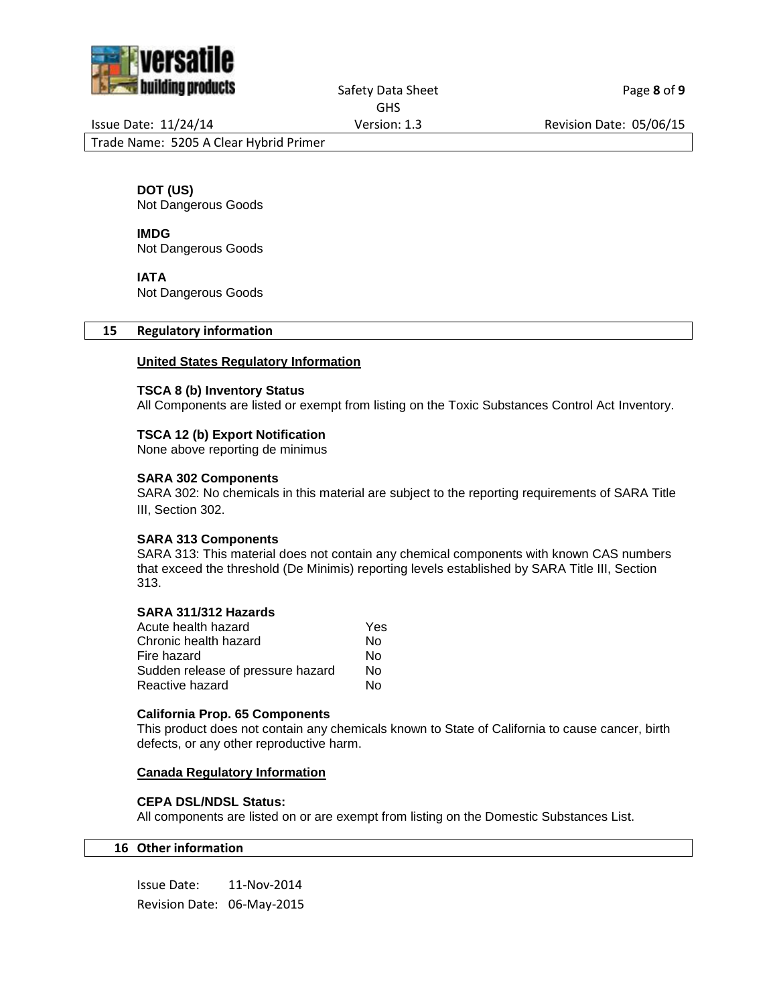

Safety Data Sheet Page 8 of 9

GHS

Issue Date: 11/24/14 Version: 1.3 Revision Date: 05/06/15

Trade Name: 5205 A Clear Hybrid Primer

**DOT (US)**

Not Dangerous Goods

**IMDG** Not Dangerous Goods

**IATA**

Not Dangerous Goods

#### **15 Regulatory information**

### **United States Regulatory Information**

#### **TSCA 8 (b) Inventory Status**

All Components are listed or exempt from listing on the Toxic Substances Control Act Inventory.

### **TSCA 12 (b) Export Notification**

None above reporting de minimus

### **SARA 302 Components**

SARA 302: No chemicals in this material are subject to the reporting requirements of SARA Title III, Section 302.

#### **SARA 313 Components**

SARA 313: This material does not contain any chemical components with known CAS numbers that exceed the threshold (De Minimis) reporting levels established by SARA Title III, Section 313.

#### **SARA 311/312 Hazards**

| Acute health hazard               | Yes |
|-----------------------------------|-----|
| Chronic health hazard             | N٥  |
| Fire hazard                       | N٥  |
| Sudden release of pressure hazard | N٥  |
| Reactive hazard                   | N٥  |
|                                   |     |

#### **California Prop. 65 Components**

This product does not contain any chemicals known to State of California to cause cancer, birth defects, or any other reproductive harm.

#### **Canada Regulatory Information**

### **CEPA DSL/NDSL Status:**

All components are listed on or are exempt from listing on the Domestic Substances List.

### **16 Other information**

Issue Date: 11-Nov-2014 Revision Date: 06-May-2015